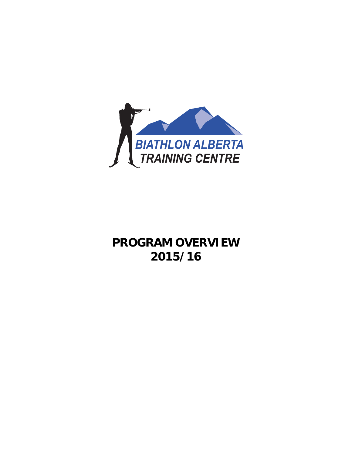

# **PROGRAM OVERVIEW 2015/16**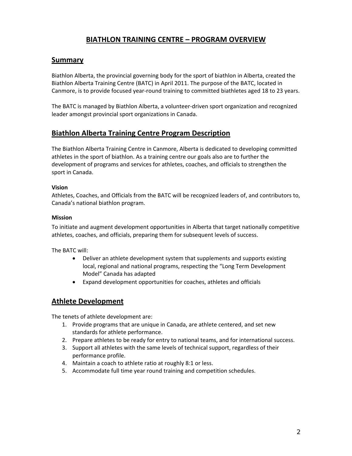# **BIATHLON TRAINING CENTRE – PROGRAM OVERVIEW**

### **Summary**

Biathlon Alberta, the provincial governing body for the sport of biathlon in Alberta, created the Biathlon Alberta Training Centre (BATC) in April 2011. The purpose of the BATC, located in Canmore, is to provide focused year‐round training to committed biathletes aged 18 to 23 years.

The BATC is managed by Biathlon Alberta, a volunteer‐driven sport organization and recognized leader amongst provincial sport organizations in Canada.

### **Biathlon Alberta Training Centre Program Description**

The Biathlon Alberta Training Centre in Canmore, Alberta is dedicated to developing committed athletes in the sport of biathlon. As a training centre our goals also are to further the development of programs and services for athletes, coaches, and officials to strengthen the sport in Canada.

#### **Vision**

Athletes, Coaches, and Officials from the BATC will be recognized leaders of, and contributors to, Canada's national biathlon program.

#### **Mission**

To initiate and augment development opportunities in Alberta that target nationally competitive athletes, coaches, and officials, preparing them for subsequent levels of success.

The BATC will:

- Deliver an athlete development system that supplements and supports existing local, regional and national programs, respecting the "Long Term Development Model" Canada has adapted
- Expand development opportunities for coaches, athletes and officials

### **Athlete Development**

The tenets of athlete development are:

- 1. Provide programs that are unique in Canada, are athlete centered, and set new standards for athlete performance.
- 2. Prepare athletes to be ready for entry to national teams, and for international success.
- 3. Support all athletes with the same levels of technical support, regardless of their performance profile.
- 4. Maintain a coach to athlete ratio at roughly 8:1 or less.
- 5. Accommodate full time year round training and competition schedules.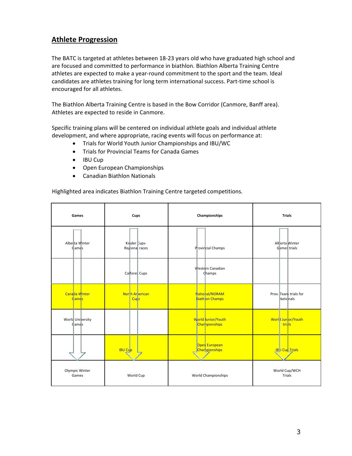# **Athlete Progression**

The BATC is targeted at athletes between 18‐23 years old who have graduated high school and are focused and committed to performance in biathlon. Biathlon Alberta Training Centre athletes are expected to make a year-round commitment to the sport and the team. Ideal candidates are athletes training for long term international success. Part‐time school is encouraged for all athletes.

The Biathlon Alberta Training Centre is based in the Bow Corridor (Canmore, Banff area). Athletes are expected to reside in Canmore.

Specific training plans will be centered on individual athlete goals and individual athlete development, and where appropriate, racing events will focus on performance at:

- Trials for World Youth Junior Championships and IBU/WC
- Trials for Provincial Teams for Canada Games
- IBU Cup
- Open European Championships
- Canadian Biathlon Nationals

Highlighted area indicates Biathlon Training Centre targeted competitions.

| Games                               | Cups                           | Championships                               | <b>Trials</b>                      |
|-------------------------------------|--------------------------------|---------------------------------------------|------------------------------------|
| Alberta Winter<br>diames            | Kinder Cups-<br>Regional races | Provircial Champs                           | Allerta Winter<br>Games trials     |
|                                     | Calfore: Cups                  | V/estern Canadian<br><b>Champs</b>          |                                    |
| Canada Winter<br>Ciame <sub>s</sub> | North Arnerican<br><b>Cups</b> | National/NORAM<br><b>Biath</b> on Champs    | Prov. Team trials for<br>Natidnals |
| World University<br><b>Cames</b>    |                                | World Junior/Youth<br><b>Charnpionships</b> | World Jun or/Youth<br>trials       |
|                                     | <b>IBU Cup</b>                 | Oper European<br><b>Charn pjonships</b>     | <b>LIB J Cup Trials</b>            |
| Olympic Winter<br>Games             | World Cup                      | World Championships                         | World Cup/WCH<br>Trials            |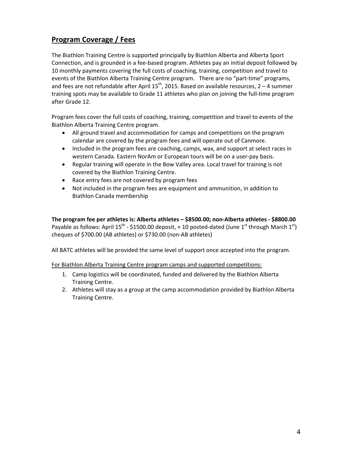# **Program Coverage / Fees**

The Biathlon Training Centre is supported principally by Biathlon Alberta and Alberta Sport Connection, and is grounded in a fee‐based program. Athletes pay an initial deposit followed by 10 monthly payments covering the full costs of coaching, training, competition and travel to events of the Biathlon Alberta Training Centre program. There are no "part-time" programs, and fees are not refundable after April 15<sup>th</sup>, 2015. Based on available resources, 2 – 4 summer training spots may be available to Grade 11 athletes who plan on joining the full‐time program after Grade 12.

Program fees cover the full costs of coaching, training, competition and travel to events of the Biathlon Alberta Training Centre program.

- All ground travel and accommodation for camps and competitions on the program calendar are covered by the program fees and will operate out of Canmore.
- Included in the program fees are coaching, camps, wax, and support at select races in western Canada. Eastern NorAm or European tours will be on a user-pay basis.
- Regular training will operate in the Bow Valley area. Local travel for training is not covered by the Biathlon Training Centre.
- Race entry fees are not covered by program fees
- Not included in the program fees are equipment and ammunition, in addition to Biathlon Canada membership

**The program fee per athletes is: Alberta athletes – \$8500.00; non‐Alberta athletes ‐ \$8800.00** Payable as follows: April  $15^{th}$  - \$1500.00 deposit, + 10 posted-dated (June 1<sup>st</sup> through March 1<sup>st</sup>) cheques of \$700.00 (AB athletes) or \$730.00 (non‐AB athletes)

All BATC athletes will be provided the same level of support once accepted into the program.

For Biathlon Alberta Training Centre program camps and supported competitions:

- 1. Camp logistics will be coordinated, funded and delivered by the Biathlon Alberta Training Centre.
- 2. Athletes will stay as a group at the camp accommodation provided by Biathlon Alberta Training Centre.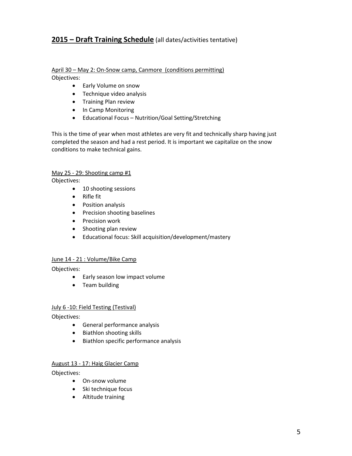# **2015 – Draft Training Schedule** (all dates/activities tentative)

#### April 30 – May 2: On‐Snow camp, Canmore (conditions permitting) Objectives:

- Early Volume on snow
- Technique video analysis
- Training Plan review
- In Camp Monitoring
- Educational Focus Nutrition/Goal Setting/Stretching

This is the time of year when most athletes are very fit and technically sharp having just completed the season and had a rest period. It is important we capitalize on the snow conditions to make technical gains.

#### May 25 - 29: Shooting camp #1

Objectives:

- 10 shooting sessions
- Rifle fit
- Position analysis
- Precision shooting baselines
- Precision work
- Shooting plan review
- Educational focus: Skill acquisition/development/mastery

#### June 14 ‐ 21 : Volume/Bike Camp

Objectives:

- Early season low impact volume
- Team building

#### July 6 ‐10: Field Testing (Testival)

Objectives:

- General performance analysis
- Biathlon shooting skills
- Biathlon specific performance analysis

#### August 13 ‐ 17: Haig Glacier Camp

Objectives:

- On‐snow volume
- Ski technique focus
- Altitude training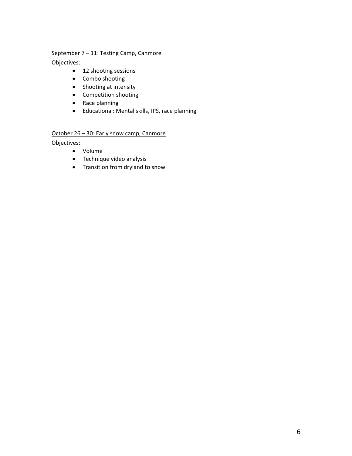#### September 7 - 11: Testing Camp, Canmore

Objectives:

- 12 shooting sessions
- Combo shooting
- Shooting at intensity
- Competition shooting
- Race planning
- Educational: Mental skills, IPS, race planning

### October 26 – 30: Early snow camp, Canmore

Objectives:

- Volume
- Technique video analysis
- Transition from dryland to snow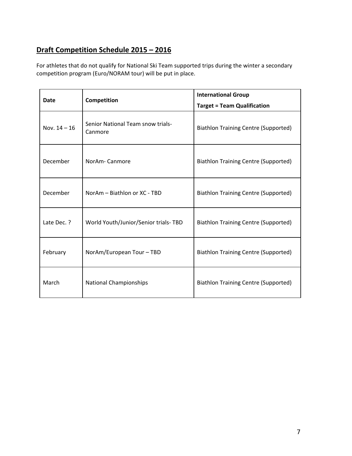# **Draft Competition Schedule 2015 – 2016**

For athletes that do not qualify for National Ski Team supported trips during the winter a secondary competition program (Euro/NORAM tour) will be put in place.

| <b>Date</b>    | Competition                                  | <b>International Group</b><br><b>Target = Team Qualification</b> |
|----------------|----------------------------------------------|------------------------------------------------------------------|
| Nov. $14 - 16$ | Senior National Team snow trials-<br>Canmore | <b>Biathlon Training Centre (Supported)</b>                      |
| December       | NorAm-Canmore                                | <b>Biathlon Training Centre (Supported)</b>                      |
| December       | NorAm - Biathlon or XC - TBD                 | <b>Biathlon Training Centre (Supported)</b>                      |
| Late Dec. ?    | World Youth/Junior/Senior trials-TBD         | <b>Biathlon Training Centre (Supported)</b>                      |
| February       | NorAm/European Tour - TBD                    | <b>Biathlon Training Centre (Supported)</b>                      |
| March          | <b>National Championships</b>                | <b>Biathlon Training Centre (Supported)</b>                      |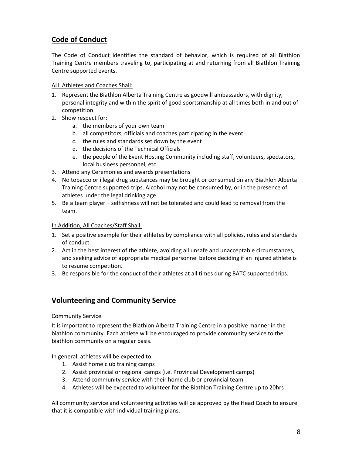# **Code of Conduct**

The Code of Conduct identifies the standard of behavior, which is required of all Biathlon Training Centre members traveling to, participating at and returning from all Biathlon Training Centre supported events.

#### ALL Athletes and Coaches Shall:

- 1. Represent the Biathlon Alberta Training Centre as goodwill ambassadors, with dignity, personal integrity and within the spirit of good sportsmanship at all times both in and out of competition.
- 2. Show respect for:
	- a. the members of your own team
	- b. all competitors, officials and coaches participating in the event
	- c. the rules and standards set down by the event
	- d. the decisions of the Technical Officials
	- e. the people of the Event Hosting Community including staff, volunteers, spectators, local business personnel, etc.
- 3. Attend any Ceremonies and awards presentations
- 4. No tobacco or illegal drug substances may be brought or consumed on any Biathlon Alberta Training Centre supported trips. Alcohol may not be consumed by, or in the presence of, athletes under the legal drinking age.
- 5. Be a team player selfishness will not be tolerated and could lead to removal from the team.

#### In Addition, All Coaches/Staff Shall:

- 1. Set a positive example for their athletes by compliance with all policies, rules and standards of conduct.
- 2. Act in the best interest of the athlete, avoiding all unsafe and unacceptable circumstances, and seeking advice of appropriate medical personnel before deciding if an injured athlete is to resume competition.
- 3. Be responsible for the conduct of their athletes at all times during BATC supported trips.

### **Volunteering and Community Service**

#### Community Service

It is important to represent the Biathlon Alberta Training Centre in a positive manner in the biathlon community. Each athlete will be encouraged to provide community service to the biathlon community on a regular basis.

In general, athletes will be expected to:

- 1. Assist home club training camps
- 2. Assist provincial or regional camps (i.e. Provincial Development camps)
- 3. Attend community service with their home club or provincial team
- 4. Athletes will be expected to volunteer for the Biathlon Training Centre up to 20hrs

All community service and volunteering activities will be approved by the Head Coach to ensure that it is compatible with individual training plans.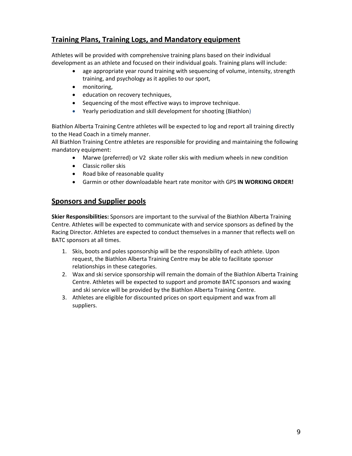# **Training Plans, Training Logs, and Mandatory equipment**

Athletes will be provided with comprehensive training plans based on their individual development as an athlete and focused on their individual goals. Training plans will include:

- age appropriate year round training with sequencing of volume, intensity, strength training, and psychology as it applies to our sport,
- monitoring,
- education on recovery techniques,
- Sequencing of the most effective ways to improve technique.
- Yearly periodization and skill development for shooting (Biathlon)

Biathlon Alberta Training Centre athletes will be expected to log and report all training directly to the Head Coach in a timely manner.

All Biathlon Training Centre athletes are responsible for providing and maintaining the following mandatory equipment:

- Marwe (preferred) or V2 skate roller skis with medium wheels in new condition
- Classic roller skis
- Road bike of reasonable quality
- Garmin or other downloadable heart rate monitor with GPS **IN WORKING ORDER!**

### **Sponsors and Supplier pools**

**Skier Responsibilities:** Sponsors are important to the survival of the Biathlon Alberta Training Centre. Athletes will be expected to communicate with and service sponsors as defined by the Racing Director. Athletes are expected to conduct themselves in a manner that reflects well on BATC sponsors at all times.

- 1. Skis, boots and poles sponsorship will be the responsibility of each athlete. Upon request, the Biathlon Alberta Training Centre may be able to facilitate sponsor relationships in these categories.
- 2. Wax and ski service sponsorship will remain the domain of the Biathlon Alberta Training Centre. Athletes will be expected to support and promote BATC sponsors and waxing and ski service will be provided by the Biathlon Alberta Training Centre.
- 3. Athletes are eligible for discounted prices on sport equipment and wax from all suppliers.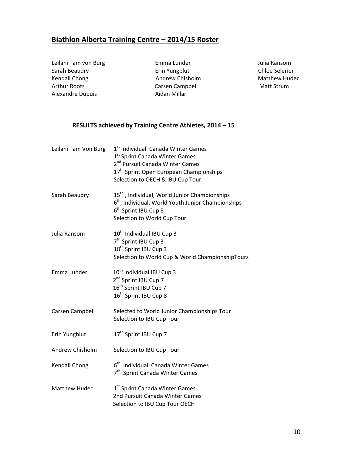# **Biathlon Alberta Training Centre – 2014/15 Roster**

Leilani Tam von Burg Emma Lunder Julia Ransom Sarah Beaudry Erin Yungblut Chloe Selerier Kendall Chong Andrew Chisholm Matthew Hudec Alexandre Dupuis Aidan Millar

Arthur Roots Carsen Campbell Matt Strum

### **RESULTS achieved by Training Centre Athletes, 2014 – 15**

| Leilani Tam Von Burg | 1 <sup>st</sup> Individual Canada Winter Games<br>1 <sup>st</sup> Sprint Canada Winter Games<br>2 <sup>nd</sup> Pursuit Canada Winter Games<br>17 <sup>th</sup> Sprint Open European Championships<br>Selection to OECH & IBU Cup Tour |
|----------------------|----------------------------------------------------------------------------------------------------------------------------------------------------------------------------------------------------------------------------------------|
| Sarah Beaudry        | 15 <sup>th</sup> , Individual, World Junior Championships<br>$6th$ , Individual, World Youth Junior Championships<br>6 <sup>th</sup> Sprint IBU Cup 8<br>Selection to World Cup Tour                                                   |
| Julia Ransom         | 10 <sup>th</sup> Individual IBU Cup 3<br>7 <sup>th</sup> Sprint IBU Cup 3<br>18 <sup>th</sup> Sprint IBU Cup 3<br>Selection to World Cup & World ChampionshipTours                                                                     |
| Emma Lunder          | 10 <sup>th</sup> Individual IBU Cup 3<br>2 <sup>nd</sup> Sprint IBU Cup 7<br>16 <sup>th</sup> Sprint IBU Cup 7<br>16 <sup>th</sup> Sprint IBU Cup 8                                                                                    |
| Carsen Campbell      | Selected to World Junior Championships Tour<br>Selection to IBU Cup Tour                                                                                                                                                               |
| Erin Yungblut        | 17 <sup>th</sup> Sprint IBU Cup 7                                                                                                                                                                                                      |
| Andrew Chisholm      | Selection to IBU Cup Tour                                                                                                                                                                                                              |
| <b>Kendall Chong</b> | 6 <sup>th</sup> Individual Canada Winter Games<br>7 <sup>th</sup> Sprint Canada Winter Games                                                                                                                                           |
| <b>Matthew Hudec</b> | 1 <sup>st</sup> Sprint Canada Winter Games<br>2nd Pursuit Canada Winter Games<br>Selection to IBU Cup Tour OECH                                                                                                                        |